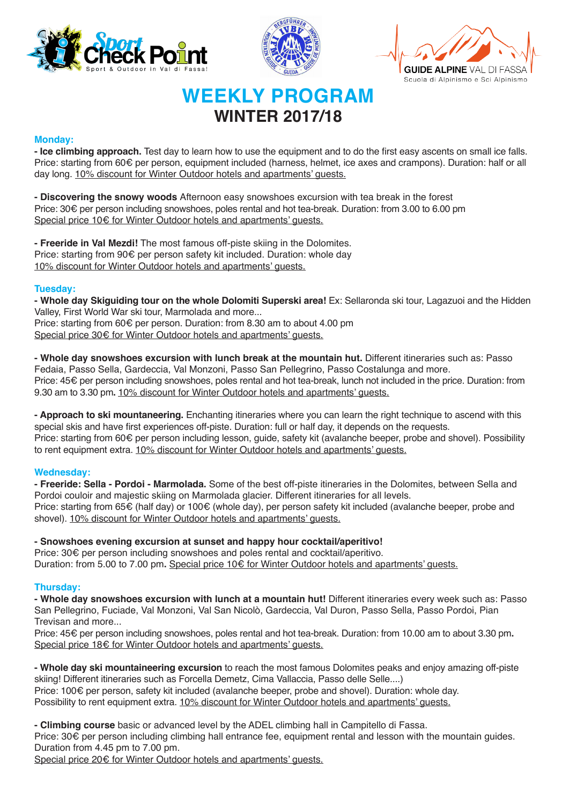





# **WEEKLY PROGRAM WINTER 2017/18**

## **Monday:**

**- Ice climbing approach.** Test day to learn how to use the equipment and to do the first easy ascents on small ice falls. Price: starting from 60€ per person, equipment included (harness, helmet, ice axes and crampons). Duration: half or all day long. 10% discount for Winter Outdoor hotels and apartments' guests.

**- Discovering the snowy woods** Afternoon easy snowshoes excursion with tea break in the forest Price: 30€ per person including snowshoes, poles rental and hot tea-break. Duration: from 3.00 to 6.00 pm Special price 10€ for Winter Outdoor hotels and apartments' quests.

**- Freeride in Val Mezdi!** The most famous off-piste skiing in the Dolomites. Price: starting from 90€ per person safety kit included. Duration: whole day 10% discount for Winter Outdoor hotels and apartments' guests.

## **Tuesday:**

**- Whole day Skiguiding tour on the whole Dolomiti Superski area!** Ex: Sellaronda ski tour, Lagazuoi and the Hidden Valley, First World War ski tour, Marmolada and more...

Price: starting from 60€ per person. Duration: from 8.30 am to about 4.00 pm Special price 30€ for Winter Outdoor hotels and apartments' guests.

**- Whole day snowshoes excursion with lunch break at the mountain hut.** Different itineraries such as: Passo Fedaia, Passo Sella, Gardeccia, Val Monzoni, Passo San Pellegrino, Passo Costalunga and more. Price: 45€ per person including snowshoes, poles rental and hot tea-break, lunch not included in the price. Duration: from 9.30 am to 3.30 pm**.** 10% discount for Winter Outdoor hotels and apartments' guests.

**- Approach to ski mountaneering.** Enchanting itineraries where you can learn the right technique to ascend with this special skis and have first experiences off-piste. Duration: full or half day, it depends on the requests. Price: starting from 60€ per person including lesson, guide, safety kit (avalanche beeper, probe and shovel). Possibility to rent equipment extra. 10% discount for Winter Outdoor hotels and apartments' quests.

## **Wednesday:**

**- Freeride: Sella - Pordoi - Marmolada.** Some of the best off-piste itineraries in the Dolomites, between Sella and Pordoi couloir and majestic skiing on Marmolada glacier. Different itineraries for all levels. Price: starting from 65€ (half day) or 100€ (whole day), per person safety kit included (avalanche beeper, probe and shovel). 10% discount for Winter Outdoor hotels and apartments' guests.

# **- Snowshoes evening excursion at sunset and happy hour cocktail/aperitivo!**

Price: 30€ per person including snowshoes and poles rental and cocktail/aperitivo. Duration: from 5.00 to 7.00 pm**.** Special price 10€ for Winter Outdoor hotels and apartments' guests.

## **Thursday:**

**- Whole day snowshoes excursion with lunch at a mountain hut!** Different itineraries every week such as: Passo San Pellegrino, Fuciade, Val Monzoni, Val San Nicolò, Gardeccia, Val Duron, Passo Sella, Passo Pordoi, Pian Trevisan and more...

Price: 45€ per person including snowshoes, poles rental and hot tea-break. Duration: from 10.00 am to about 3.30 pm**.**  Special price 18€ for Winter Outdoor hotels and apartments' guests.

**- Whole day ski mountaineering excursion** to reach the most famous Dolomites peaks and enjoy amazing off-piste skiing! Different itineraries such as Forcella Demetz, Cima Vallaccia, Passo delle Selle....) Price: 100€ per person, safety kit included (avalanche beeper, probe and shovel). Duration: whole day. Possibility to rent equipment extra. 10% discount for Winter Outdoor hotels and apartments' quests.

**- Climbing course** basic or advanced level by the ADEL climbing hall in Campitello di Fassa. Price: 30€ per person including climbing hall entrance fee, equipment rental and lesson with the mountain guides. Duration from 4.45 pm to 7.00 pm.

Special price 20€ for Winter Outdoor hotels and apartments' guests.